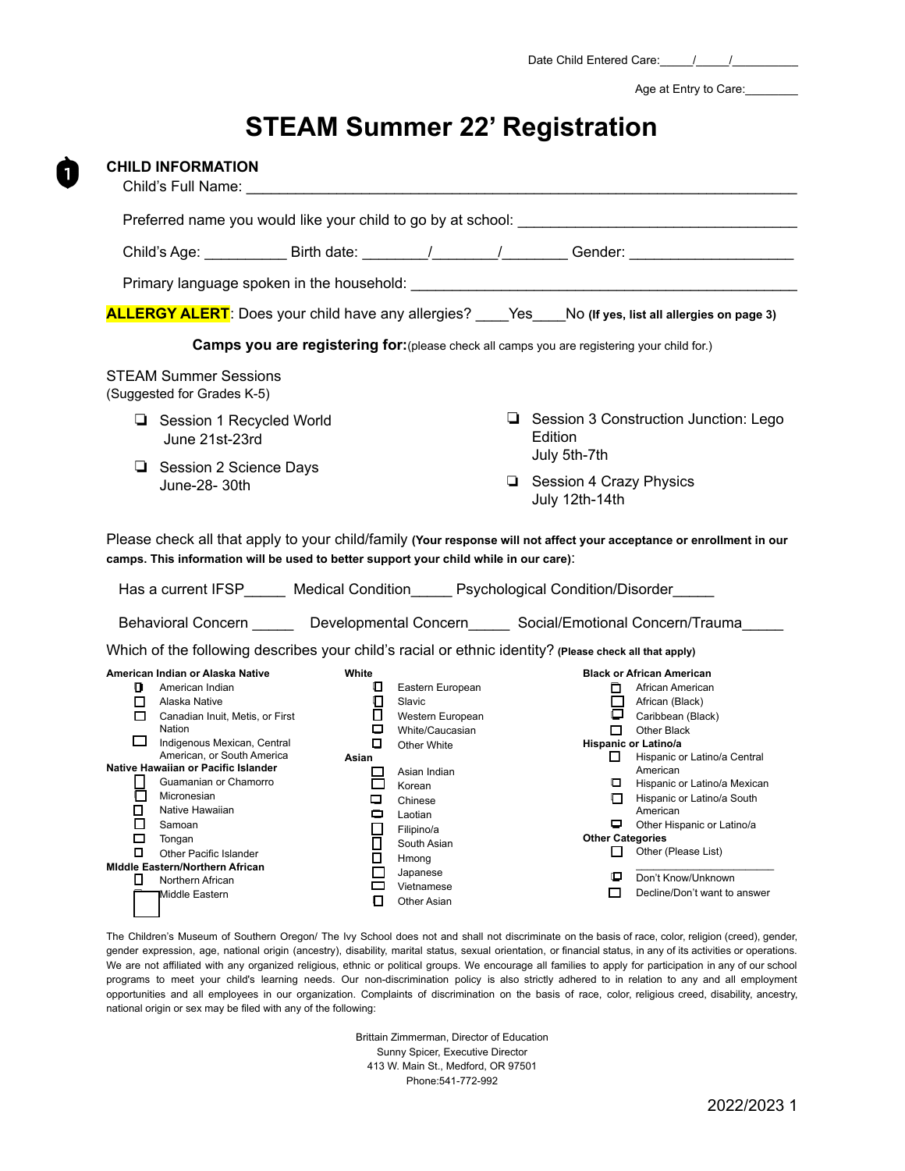Date Child Entered Care:\_\_\_\_\_/\_\_\_\_\_/\_\_\_\_\_\_\_\_\_\_

Age at Entry to Care:

# **STEAM Summer 22' Registration**

 $\mathbf{1}$ 

| <b>CHILD INFORMATION</b><br>Child's Full Name:                                                                                                                                                                                                                                                                                                                                                                                                                                |                                                                                                                                                                                                                                                                                                  |                                                                                                                                                                                                                                                                                                                                                                                                                                                                                                                                                         |
|-------------------------------------------------------------------------------------------------------------------------------------------------------------------------------------------------------------------------------------------------------------------------------------------------------------------------------------------------------------------------------------------------------------------------------------------------------------------------------|--------------------------------------------------------------------------------------------------------------------------------------------------------------------------------------------------------------------------------------------------------------------------------------------------|---------------------------------------------------------------------------------------------------------------------------------------------------------------------------------------------------------------------------------------------------------------------------------------------------------------------------------------------------------------------------------------------------------------------------------------------------------------------------------------------------------------------------------------------------------|
|                                                                                                                                                                                                                                                                                                                                                                                                                                                                               | Preferred name you would like your child to go by at school:                                                                                                                                                                                                                                     |                                                                                                                                                                                                                                                                                                                                                                                                                                                                                                                                                         |
|                                                                                                                                                                                                                                                                                                                                                                                                                                                                               |                                                                                                                                                                                                                                                                                                  | Child's Age: _______________ Birth date: __________/ _________/ __________Gender: _________________                                                                                                                                                                                                                                                                                                                                                                                                                                                     |
|                                                                                                                                                                                                                                                                                                                                                                                                                                                                               |                                                                                                                                                                                                                                                                                                  |                                                                                                                                                                                                                                                                                                                                                                                                                                                                                                                                                         |
|                                                                                                                                                                                                                                                                                                                                                                                                                                                                               |                                                                                                                                                                                                                                                                                                  | ALLERGY ALERT: Does your child have any allergies? ____Yes___No (If yes, list all allergies on page 3)                                                                                                                                                                                                                                                                                                                                                                                                                                                  |
|                                                                                                                                                                                                                                                                                                                                                                                                                                                                               |                                                                                                                                                                                                                                                                                                  | Camps you are registering for: (please check all camps you are registering your child for.)                                                                                                                                                                                                                                                                                                                                                                                                                                                             |
| <b>STEAM Summer Sessions</b><br>(Suggested for Grades K-5)                                                                                                                                                                                                                                                                                                                                                                                                                    |                                                                                                                                                                                                                                                                                                  |                                                                                                                                                                                                                                                                                                                                                                                                                                                                                                                                                         |
| Session 1 Recycled World<br>June 21st-23rd                                                                                                                                                                                                                                                                                                                                                                                                                                    |                                                                                                                                                                                                                                                                                                  | Session 3 Construction Junction: Lego<br>Edition                                                                                                                                                                                                                                                                                                                                                                                                                                                                                                        |
| Session 2 Science Days<br>June-28- 30th                                                                                                                                                                                                                                                                                                                                                                                                                                       |                                                                                                                                                                                                                                                                                                  | July 5th-7th<br>Session 4 Crazy Physics<br>July 12th-14th                                                                                                                                                                                                                                                                                                                                                                                                                                                                                               |
| camps. This information will be used to better support your child while in our care):                                                                                                                                                                                                                                                                                                                                                                                         |                                                                                                                                                                                                                                                                                                  | Please check all that apply to your child/family (Your response will not affect your acceptance or enrollment in our<br>Has a current IFSP_____ Medical Condition_____ Psychological Condition/Disorder_____                                                                                                                                                                                                                                                                                                                                            |
|                                                                                                                                                                                                                                                                                                                                                                                                                                                                               |                                                                                                                                                                                                                                                                                                  | Behavioral Concern ______ Developmental Concern_____ Social/Emotional Concern/Trauma____                                                                                                                                                                                                                                                                                                                                                                                                                                                                |
| American Indian or Alaska Native<br>п.<br>American Indian<br>$\Box$ Alaska Native<br>Canadian Inuit, Metis, or First<br>Nation<br>Indigenous Mexican, Central<br>American, or South America<br>Native Hawaiian or Pacific Islander<br>Guamanian or Chamorro<br>Ħ<br>ο<br>Micronesian<br>П.<br>Native Hawaiian<br>$\Box$ Samoan<br>□<br>Tongan<br>П.<br>Other Pacific Islander<br><b>Middle Eastern/Northern African</b><br>Northern African<br>$\mathbf{L}$<br>Middle Eastern | White<br>I.<br>Eastern European<br>O<br>Slavic<br>$\Box$<br>Western European<br>□<br>White/Caucasian<br>О.<br>Other White<br>Asian<br>Asian Indian<br>$\Box$<br>□<br>Korean<br>Chinese<br>Φ.<br>Laotian<br>$\Box$<br>Filipino/a<br>靣<br>South Asian<br>П<br>Hmong<br>П<br>Japanese<br>Vietnamese | Which of the following describes your child's racial or ethnic identity? (Please check all that apply)<br><b>Black or African American</b><br>African American<br>African (Black)<br>$\Box$ Caribbean (Black)<br>$\Box$ Other Black<br>Hispanic or Latino/a<br>$\Box$<br>Hispanic or Latino/a Central<br>American<br><b>U</b> Hispanic or Latino/a Mexican<br>Hispanic or Latino/a South<br>American<br>Other Hispanic or Latino/a<br><b>Other Categories</b><br>$\Box$ Other (Please List)<br>0.<br>Don't Know/Unknown<br>Decline/Don't want to answer |

The Children's Museum of Southern Oregon/ The Ivy School does not and shall not discriminate on the basis of race, color, religion (creed), gender, gender expression, age, national origin (ancestry), disability, marital status, sexual orientation, or financial status, in any of its activities or operations. We are not affiliated with any organized religious, ethnic or political groups. We encourage all families to apply for participation in any of our school programs to meet your child's learning needs. Our non-discrimination policy is also strictly adhered to in relation to any and all employment opportunities and all employees in our organization. Complaints of discrimination on the basis of race, color, religious creed, disability, ancestry, national origin or sex may be filed with any of the following:

> Brittain Zimmerman, Director of Education Sunny Spicer, Executive Director 413 W. Main St., Medford, OR 97501 Phone:541-772-992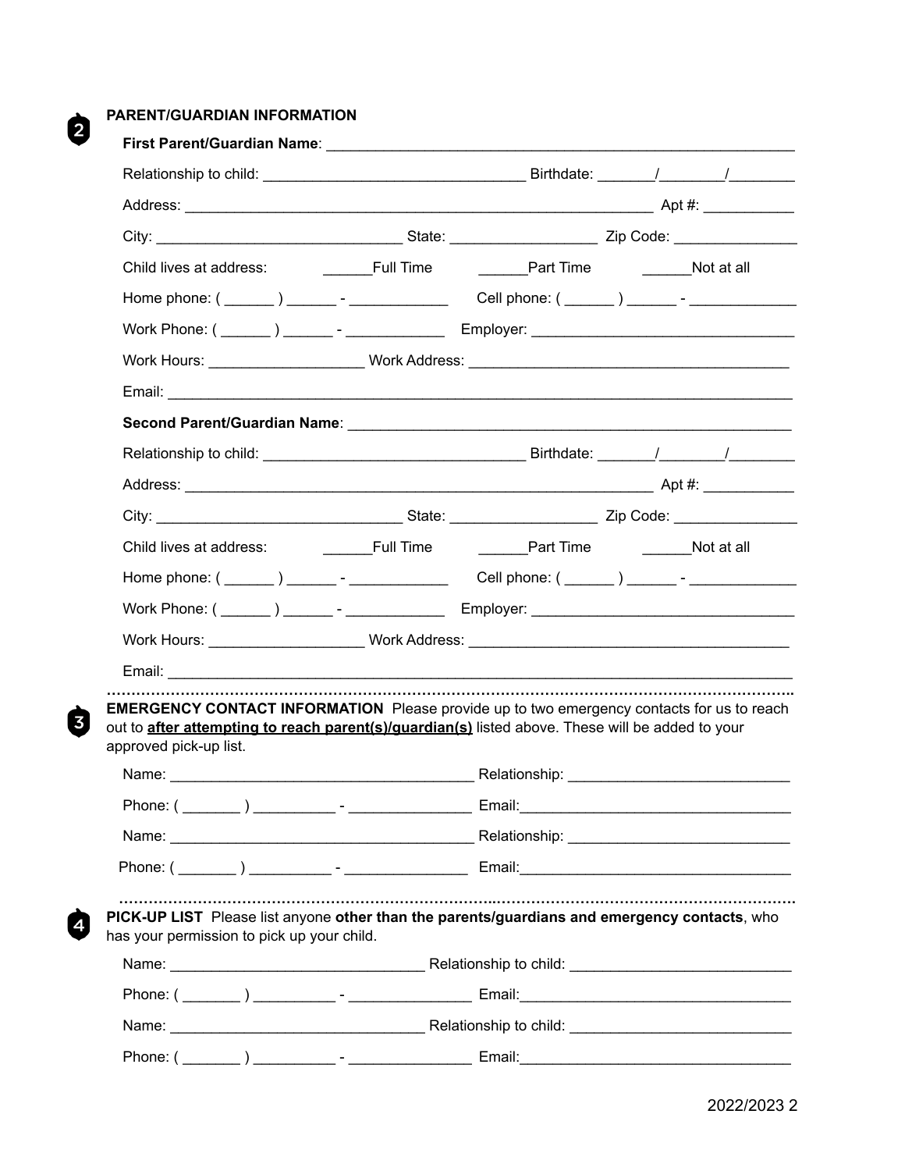## **PARENT/GUARDIAN INFORMATION**

2

 $\boldsymbol{\Theta}$ 

0

| Child lives at address:                                                                                                                                                                                                               |  |  |
|---------------------------------------------------------------------------------------------------------------------------------------------------------------------------------------------------------------------------------------|--|--|
|                                                                                                                                                                                                                                       |  |  |
|                                                                                                                                                                                                                                       |  |  |
| Work Hours: ______________________Work Address: ________________________________                                                                                                                                                      |  |  |
|                                                                                                                                                                                                                                       |  |  |
|                                                                                                                                                                                                                                       |  |  |
|                                                                                                                                                                                                                                       |  |  |
|                                                                                                                                                                                                                                       |  |  |
|                                                                                                                                                                                                                                       |  |  |
|                                                                                                                                                                                                                                       |  |  |
|                                                                                                                                                                                                                                       |  |  |
|                                                                                                                                                                                                                                       |  |  |
| Work Hours: _______________________Work Address: _______________________________                                                                                                                                                      |  |  |
|                                                                                                                                                                                                                                       |  |  |
| <b>EMERGENCY CONTACT INFORMATION</b> Please provide up to two emergency contacts for us to reach<br>out to <b>after attempting to reach parent(s)/guardian(s)</b> listed above. These will be added to your<br>approved pick-up list. |  |  |
|                                                                                                                                                                                                                                       |  |  |
|                                                                                                                                                                                                                                       |  |  |
|                                                                                                                                                                                                                                       |  |  |
| PICK-UP LIST Please list anyone other than the parents/guardians and emergency contacts, who<br>has your permission to pick up your child.                                                                                            |  |  |
|                                                                                                                                                                                                                                       |  |  |
|                                                                                                                                                                                                                                       |  |  |
|                                                                                                                                                                                                                                       |  |  |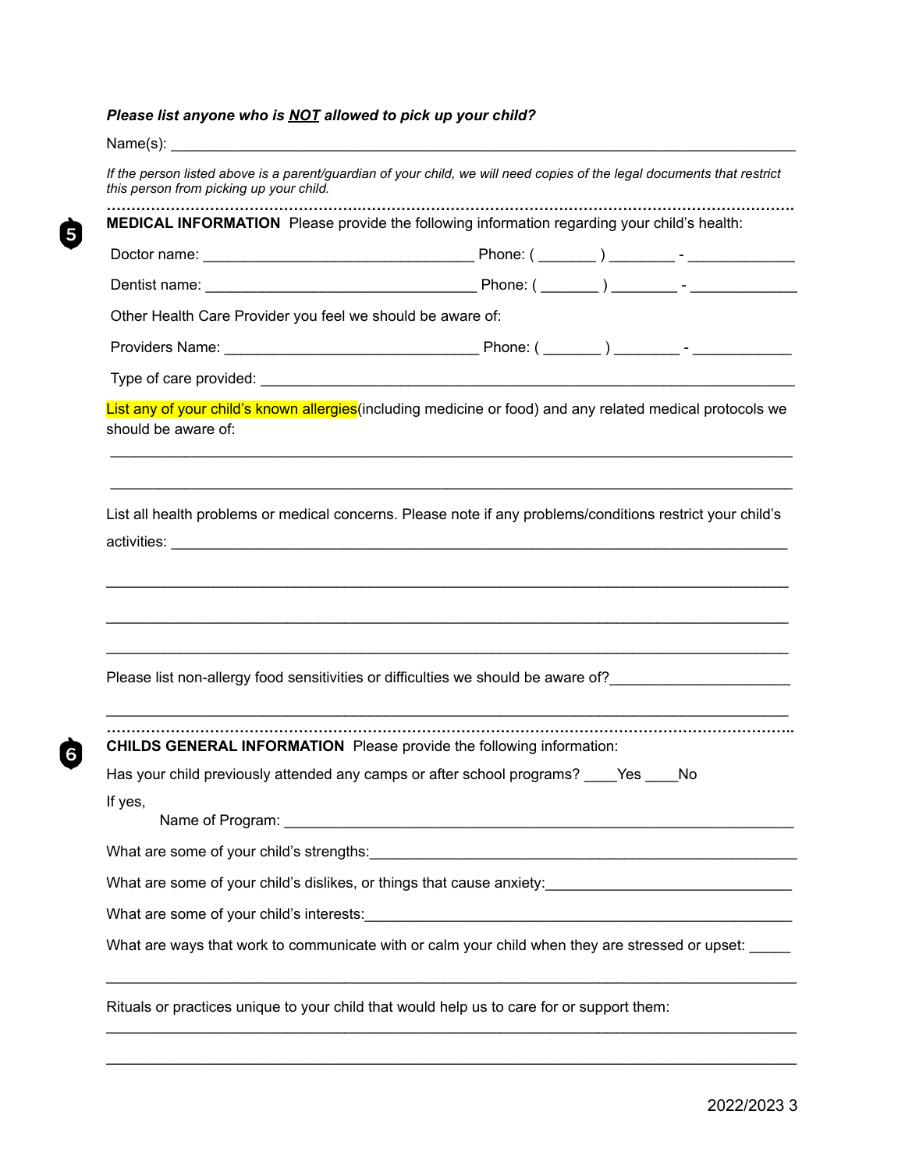## *Please list anyone who is NOT allowed to pick up your child?*

 $\dot{\mathbf{\Theta}}$ 

 $\dot{G}$ 

| Name(s): $\frac{1}{2}$                                                                                                                                             |  |  |
|--------------------------------------------------------------------------------------------------------------------------------------------------------------------|--|--|
| If the person listed above is a parent/guardian of your child, we will need copies of the legal documents that restrict<br>this person from picking up your child. |  |  |
| MEDICAL INFORMATION Please provide the following information regarding your child's health:                                                                        |  |  |
|                                                                                                                                                                    |  |  |
|                                                                                                                                                                    |  |  |
| Other Health Care Provider you feel we should be aware of:                                                                                                         |  |  |
|                                                                                                                                                                    |  |  |
|                                                                                                                                                                    |  |  |
| List any of your child's known allergies (including medicine or food) and any related medical protocols we<br>should be aware of:                                  |  |  |
| List all health problems or medical concerns. Please note if any problems/conditions restrict your child's                                                         |  |  |
|                                                                                                                                                                    |  |  |
| <b>CHILDS GENERAL INFORMATION</b> Please provide the following information:                                                                                        |  |  |
|                                                                                                                                                                    |  |  |
| If yes,                                                                                                                                                            |  |  |
|                                                                                                                                                                    |  |  |
|                                                                                                                                                                    |  |  |
|                                                                                                                                                                    |  |  |
| What are ways that work to communicate with or calm your child when they are stressed or upset:                                                                    |  |  |
| Rituals or practices unique to your child that would help us to care for or support them:                                                                          |  |  |

 $\mathcal{L}_\mathcal{L}$  , and the contribution of the contribution of the contribution of the contribution of the contribution of the contribution of the contribution of the contribution of the contribution of the contribution of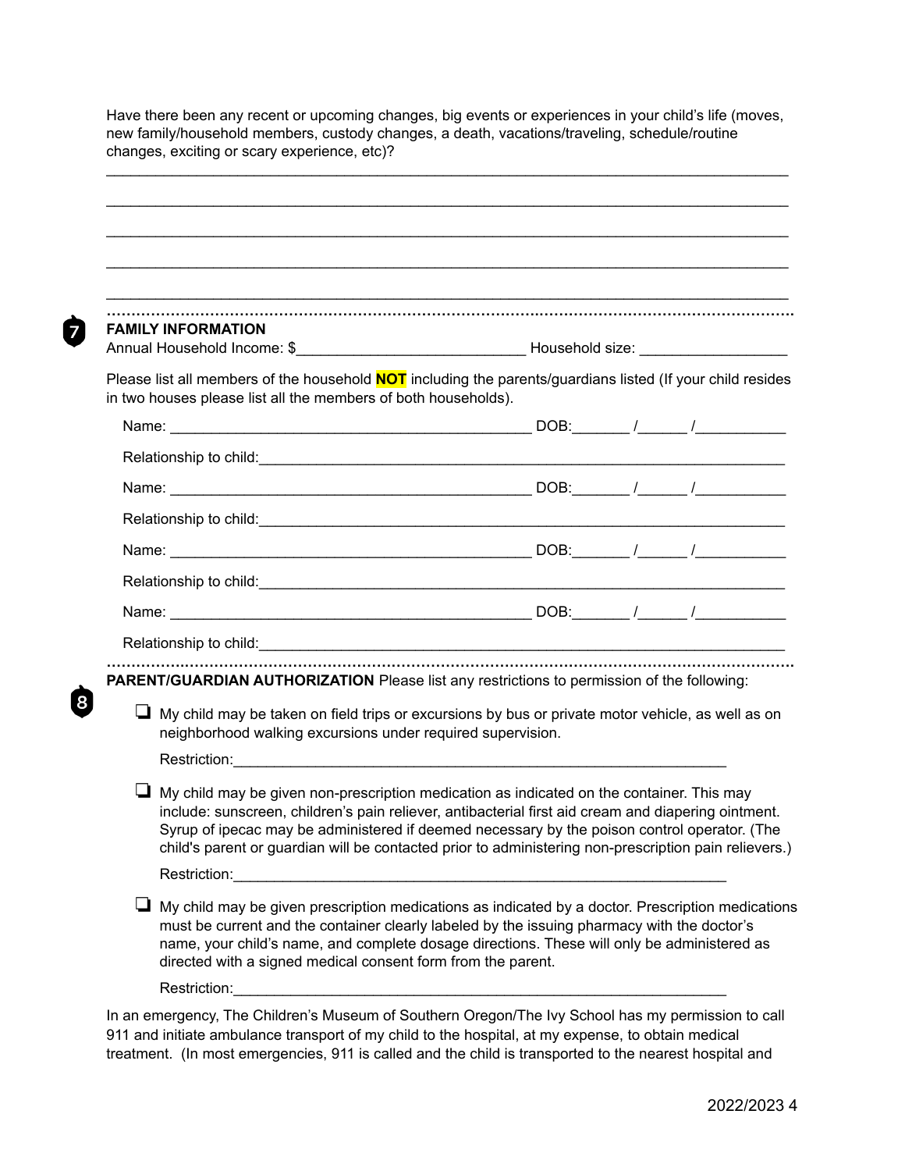Have there been any recent or upcoming changes, big events or experiences in your child's life (moves, new family/household members, custody changes, a death, vacations/traveling, schedule/routine changes, exciting or scary experience, etc)?

 $\mathcal{L}_\mathcal{L}$  , and the contribution of the contribution of the contribution of the contribution of the contribution of the contribution of the contribution of the contribution of the contribution of the contribution of

 $\mathcal{L}_\mathcal{L}$  , and the contribution of the contribution of the contribution of the contribution of the contribution of the contribution of the contribution of the contribution of the contribution of the contribution of

 $\mathcal{L}_\mathcal{L}$  , and the contribution of the contribution of the contribution of the contribution of the contribution of the contribution of the contribution of the contribution of the contribution of the contribution of

 $\mathcal{L}_\mathcal{L}$  , and the contribution of the contribution of the contribution of the contribution of the contribution of the contribution of the contribution of the contribution of the contribution of the contribution of

 $\mathcal{L}_\mathcal{L}$  , and the contribution of the contribution of the contribution of the contribution of the contribution of the contribution of the contribution of the contribution of the contribution of the contribution of

| <b>FAMILY INFORMATION</b> |  |
|---------------------------|--|

 $\overline{7}$ 

Annual Household Income: \$\_\_\_\_\_\_\_\_\_\_\_\_\_\_\_\_\_\_\_\_\_\_\_\_\_\_\_\_ Household size: \_\_\_\_\_\_\_\_\_\_\_\_\_\_\_\_\_\_

Please list all members of the household **NOT** including the parents/guardians listed (If your child resides in two houses please list all the members of both households).

| PARENT/GUARDIAN AUTHORIZATION Please list any restrictions to permission of the following:               |  |  |
|----------------------------------------------------------------------------------------------------------|--|--|
| $\Box$ My child may be taken on field trips or excursions by bus or private motor vehicle, as well as on |  |  |

❏ My child may be given non-prescription medication as indicated on the container. This may include: sunscreen, children's pain reliever, antibacterial first aid cream and diapering ointment. Syrup of ipecac may be administered if deemed necessary by the poison control operator. (The child's parent or guardian will be contacted prior to administering non-prescription pain relievers.)

neighborhood walking excursions under required supervision.

Restriction:

Restriction:

❏ My child may be given prescription medications as indicated by a doctor. Prescription medications must be current and the container clearly labeled by the issuing pharmacy with the doctor's name, your child's name, and complete dosage directions. These will only be administered as directed with a signed medical consent form from the parent.

Restriction:

In an emergency, The Children's Museum of Southern Oregon/The Ivy School has my permission to call 911 and initiate ambulance transport of my child to the hospital, at my expense, to obtain medical treatment. (In most emergencies, 911 is called and the child is transported to the nearest hospital and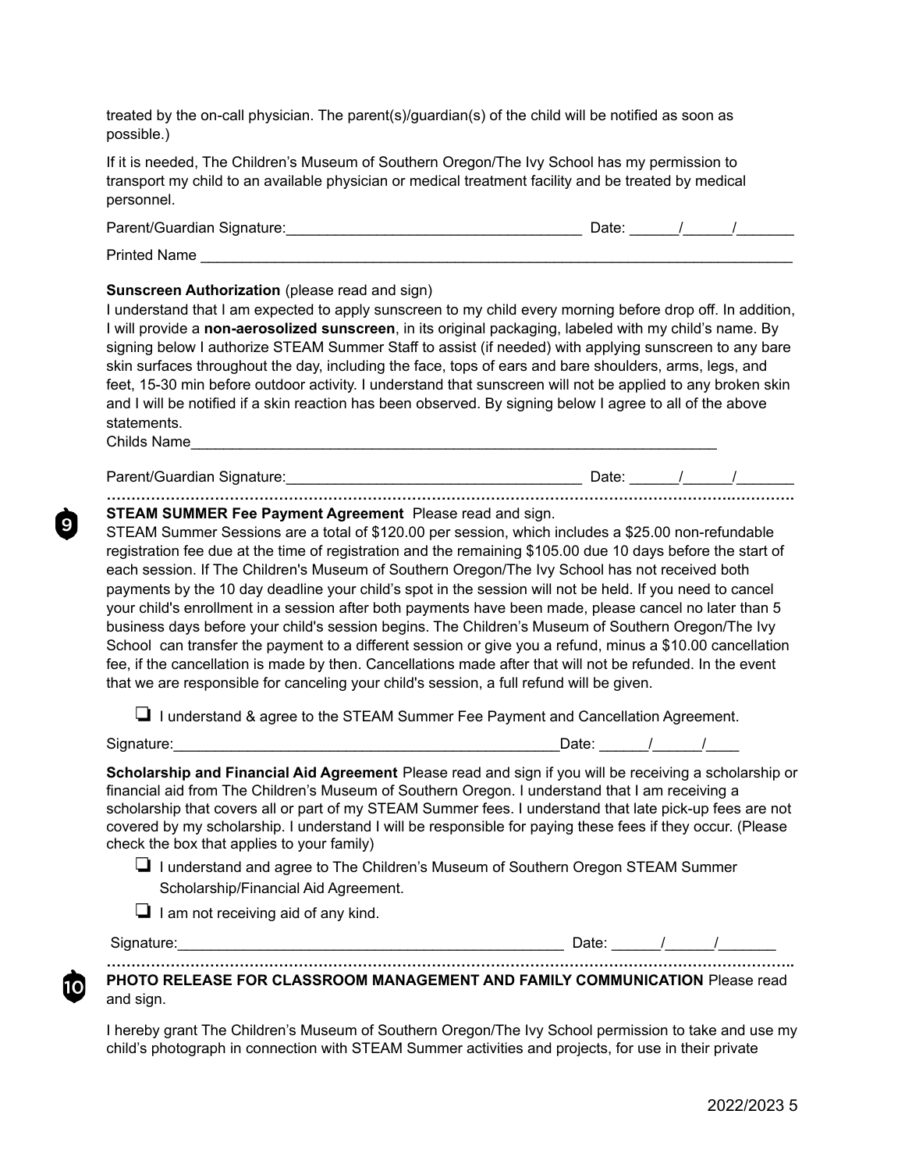treated by the on-call physician. The parent(s)/guardian(s) of the child will be notified as soon as possible.)

If it is needed, The Children's Museum of Southern Oregon/The Ivy School has my permission to transport my child to an available physician or medical treatment facility and be treated by medical personnel.

| Parent/Guardian Signature: | ⊃ate: |  |  |
|----------------------------|-------|--|--|
| <b>Printed Name</b>        |       |  |  |

#### **Sunscreen Authorization** (please read and sign)

I understand that I am expected to apply sunscreen to my child every morning before drop off. In addition, I will provide a **non-aerosolized sunscreen**, in its original packaging, labeled with my child's name. By signing below I authorize STEAM Summer Staff to assist (if needed) with applying sunscreen to any bare skin surfaces throughout the day, including the face, tops of ears and bare shoulders, arms, legs, and feet, 15-30 min before outdoor activity. I understand that sunscreen will not be applied to any broken skin and I will be notified if a skin reaction has been observed. By signing below I agree to all of the above statements.

Childs Name

9

 $10$ 

Parent/Guardian Signature:\_\_\_\_\_\_\_\_\_\_\_\_\_\_\_\_\_\_\_\_\_\_\_\_\_\_\_\_\_\_\_\_\_\_\_\_ Date: \_\_\_\_\_\_/\_\_\_\_\_\_/\_\_\_\_\_\_\_ **……………………………………………………………………………………………………………….………….**

**STEAM SUMMER Fee Payment Agreement** Please read and sign.

STEAM Summer Sessions are a total of \$120.00 per session, which includes a \$25.00 non-refundable registration fee due at the time of registration and the remaining \$105.00 due 10 days before the start of each session. If The Children's Museum of Southern Oregon/The Ivy School has not received both payments by the 10 day deadline your child's spot in the session will not be held. If you need to cancel your child's enrollment in a session after both payments have been made, please cancel no later than 5 business days before your child's session begins. The Children's Museum of Southern Oregon/The Ivy School can transfer the payment to a different session or give you a refund, minus a \$10.00 cancellation fee, if the cancellation is made by then. Cancellations made after that will not be refunded. In the event that we are responsible for canceling your child's session, a full refund will be given.

❏ I understand & agree to the STEAM Summer Fee Payment and Cancellation Agreement.

Signature:

| Date: |  |
|-------|--|
|       |  |

**Scholarship and Financial Aid Agreement** Please read and sign if you will be receiving a scholarship or financial aid from The Children's Museum of Southern Oregon. I understand that I am receiving a scholarship that covers all or part of my STEAM Summer fees. I understand that late pick-up fees are not covered by my scholarship. I understand I will be responsible for paying these fees if they occur. (Please check the box that applies to your family)

❏ I understand and agree to The Children's Museum of Southern Oregon STEAM Summer Scholarship/Financial Aid Agreement.

❏ I am not receiving aid of any kind.

Signature:\_\_\_\_\_\_\_\_\_\_\_\_\_\_\_\_\_\_\_\_\_\_\_\_\_\_\_\_\_\_\_\_\_\_\_\_\_\_\_\_\_\_\_\_\_\_\_ Date: \_\_\_\_\_\_/\_\_\_\_\_\_/\_\_\_\_\_\_\_

**………………………………………………………………………………………………………………………….. PHOTO RELEASE FOR CLASSROOM MANAGEMENT AND FAMILY COMMUNICATION** Please read and sign.

I hereby grant The Children's Museum of Southern Oregon/The Ivy School permission to take and use my child's photograph in connection with STEAM Summer activities and projects, for use in their private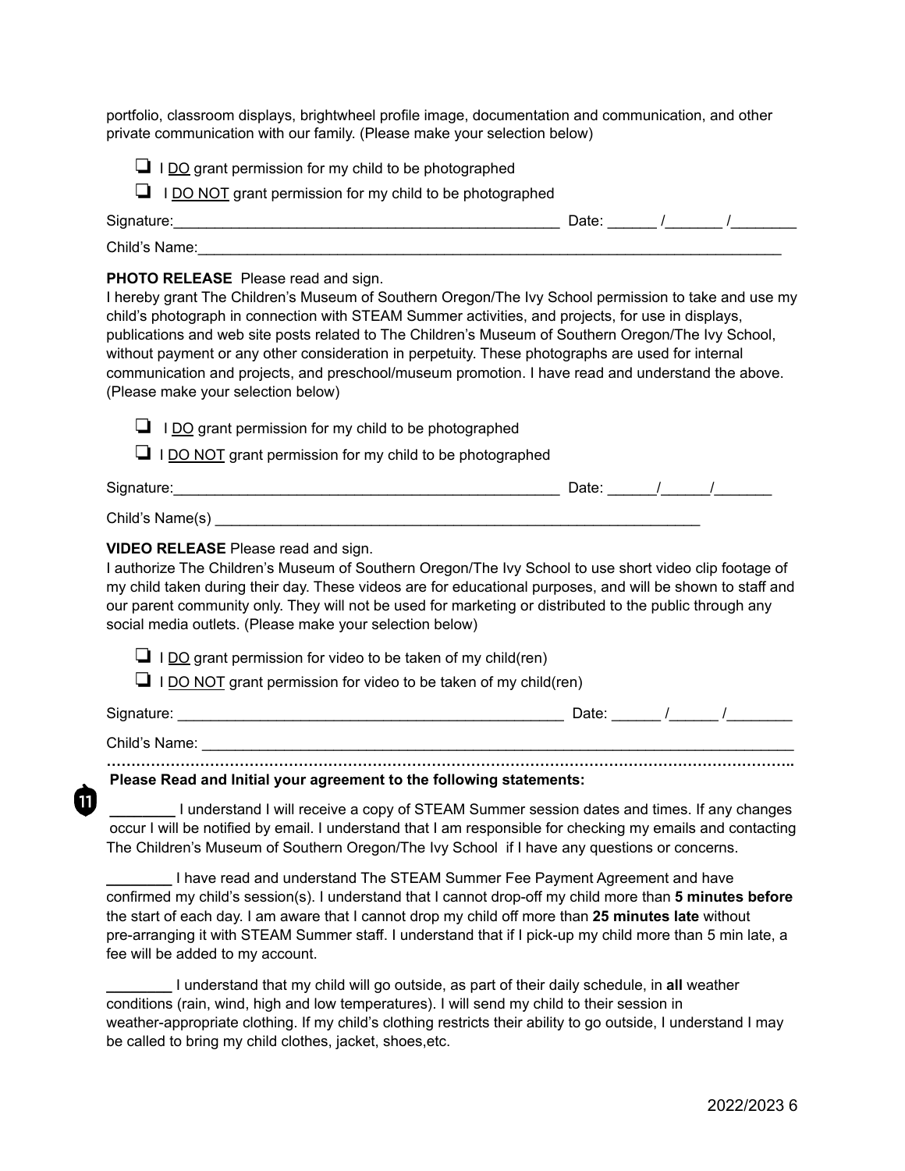portfolio, classroom displays, brightwheel profile image, documentation and communication, and other private communication with our family. (Please make your selection below)

- $\Box$  I DO grant permission for my child to be photographed
- ❏ I DO NOT grant permission for my child to be photographed

| Signature:    | Date. |
|---------------|-------|
| Child's Name: |       |

### **PHOTO RELEASE** Please read and sign.

I hereby grant The Children's Museum of Southern Oregon/The Ivy School permission to take and use my child's photograph in connection with STEAM Summer activities, and projects, for use in displays, publications and web site posts related to The Children's Museum of Southern Oregon/The Ivy School, without payment or any other consideration in perpetuity. These photographs are used for internal communication and projects, and preschool/museum promotion. I have read and understand the above. (Please make your selection below)

| If ideas make your sciedholl below)                                                                                                                                                                                                                                                                                                                                                                                                       |  |                              |
|-------------------------------------------------------------------------------------------------------------------------------------------------------------------------------------------------------------------------------------------------------------------------------------------------------------------------------------------------------------------------------------------------------------------------------------------|--|------------------------------|
| $\Box$ I DO grant permission for my child to be photographed                                                                                                                                                                                                                                                                                                                                                                              |  |                              |
| I DO NOT grant permission for my child to be photographed                                                                                                                                                                                                                                                                                                                                                                                 |  |                              |
|                                                                                                                                                                                                                                                                                                                                                                                                                                           |  |                              |
|                                                                                                                                                                                                                                                                                                                                                                                                                                           |  |                              |
| <b>VIDEO RELEASE</b> Please read and sign.<br>I authorize The Children's Museum of Southern Oregon/The Ivy School to use short video clip footage of<br>my child taken during their day. These videos are for educational purposes, and will be shown to staff and<br>our parent community only. They will not be used for marketing or distributed to the public through any<br>social media outlets. (Please make your selection below) |  |                              |
| $\Box$ I DO grant permission for video to be taken of my child(ren)<br>I DO NOT grant permission for video to be taken of my child(ren)                                                                                                                                                                                                                                                                                                   |  |                              |
|                                                                                                                                                                                                                                                                                                                                                                                                                                           |  | Date: $\sqrt{1-\frac{1}{2}}$ |
|                                                                                                                                                                                                                                                                                                                                                                                                                                           |  |                              |
| Please Read and Initial your agreement to the following statements:                                                                                                                                                                                                                                                                                                                                                                       |  |                              |
| I understand I will receive a copy of STEAM Summer session dates and times. If any changes<br>occur I will be notified by email. I understand that I am responsible for checking my emails and contacting<br>The Children's Museum of Southern Oregon/The Ivy School if I have any questions or concerns.                                                                                                                                 |  |                              |

**\_\_\_\_\_\_\_\_** I have read and understand The STEAM Summer Fee Payment Agreement and have confirmed my child's session(s). I understand that I cannot drop-off my child more than **5 minutes before** the start of each day. I am aware that I cannot drop my child off more than **25 minutes late** without pre-arranging it with STEAM Summer staff. I understand that if I pick-up my child more than 5 min late, a fee will be added to my account.

**\_\_\_\_\_\_\_\_** I understand that my child will go outside, as part of their daily schedule, in **all** weather conditions (rain, wind, high and low temperatures). I will send my child to their session in weather-appropriate clothing. If my child's clothing restricts their ability to go outside, I understand I may be called to bring my child clothes, jacket, shoes,etc.